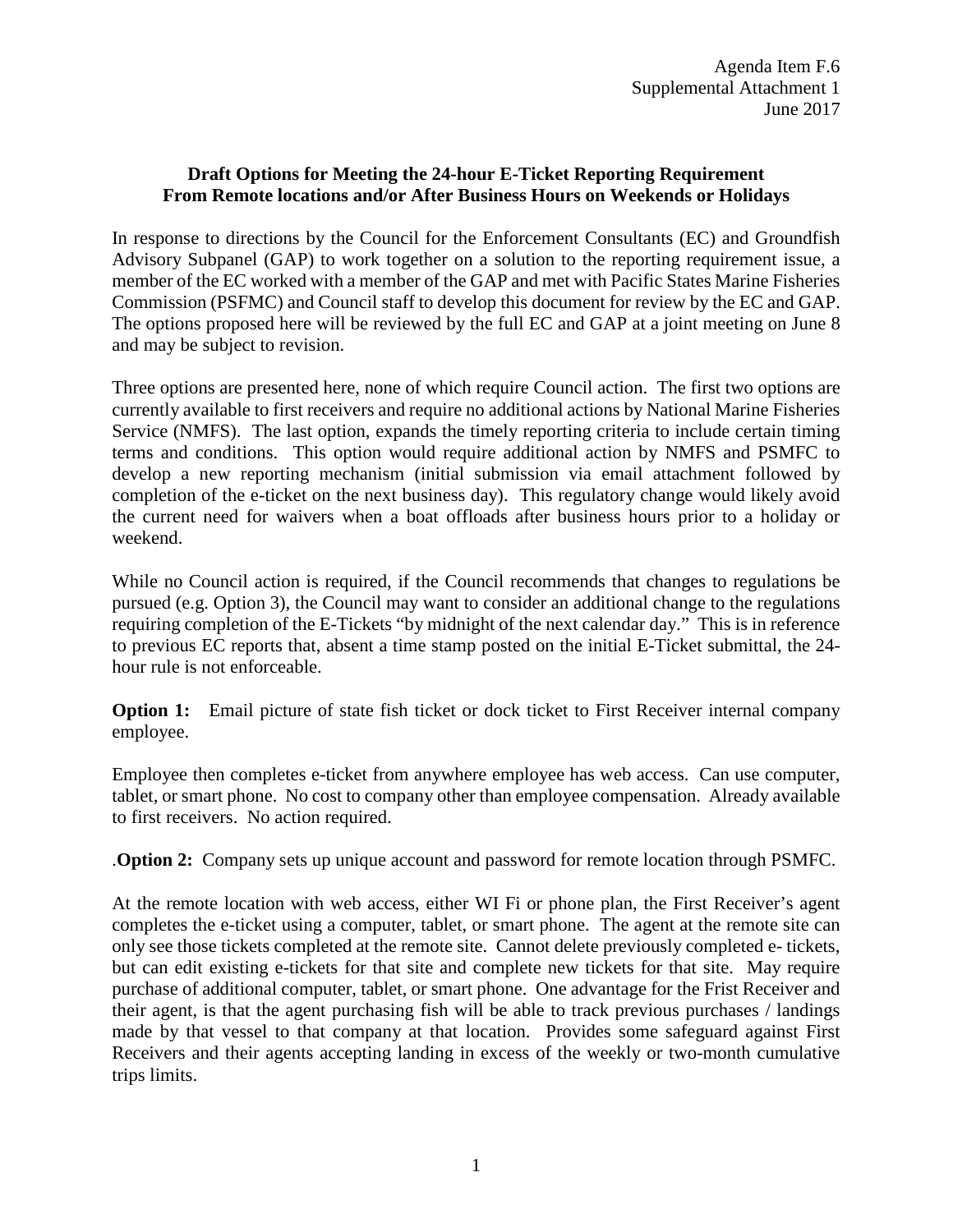## **Draft Options for Meeting the 24-hour E-Ticket Reporting Requirement From Remote locations and/or After Business Hours on Weekends or Holidays**

In response to directions by the Council for the Enforcement Consultants (EC) and Groundfish Advisory Subpanel (GAP) to work together on a solution to the reporting requirement issue, a member of the EC worked with a member of the GAP and met with Pacific States Marine Fisheries Commission (PSFMC) and Council staff to develop this document for review by the EC and GAP. The options proposed here will be reviewed by the full EC and GAP at a joint meeting on June 8 and may be subject to revision.

Three options are presented here, none of which require Council action. The first two options are currently available to first receivers and require no additional actions by National Marine Fisheries Service (NMFS). The last option, expands the timely reporting criteria to include certain timing terms and conditions. This option would require additional action by NMFS and PSMFC to develop a new reporting mechanism (initial submission via email attachment followed by completion of the e-ticket on the next business day). This regulatory change would likely avoid the current need for waivers when a boat offloads after business hours prior to a holiday or weekend.

While no Council action is required, if the Council recommends that changes to regulations be pursued (e.g. Option 3), the Council may want to consider an additional change to the regulations requiring completion of the E-Tickets "by midnight of the next calendar day." This is in reference to previous EC reports that, absent a time stamp posted on the initial E-Ticket submittal, the 24 hour rule is not enforceable.

**Option 1:** Email picture of state fish ticket or dock ticket to First Receiver internal company employee.

Employee then completes e-ticket from anywhere employee has web access. Can use computer, tablet, or smart phone. No cost to company other than employee compensation. Already available to first receivers. No action required.

.**Option 2:** Company sets up unique account and password for remote location through PSMFC.

At the remote location with web access, either WI Fi or phone plan, the First Receiver's agent completes the e-ticket using a computer, tablet, or smart phone. The agent at the remote site can only see those tickets completed at the remote site. Cannot delete previously completed e- tickets, but can edit existing e-tickets for that site and complete new tickets for that site. May require purchase of additional computer, tablet, or smart phone. One advantage for the Frist Receiver and their agent, is that the agent purchasing fish will be able to track previous purchases / landings made by that vessel to that company at that location. Provides some safeguard against First Receivers and their agents accepting landing in excess of the weekly or two-month cumulative trips limits.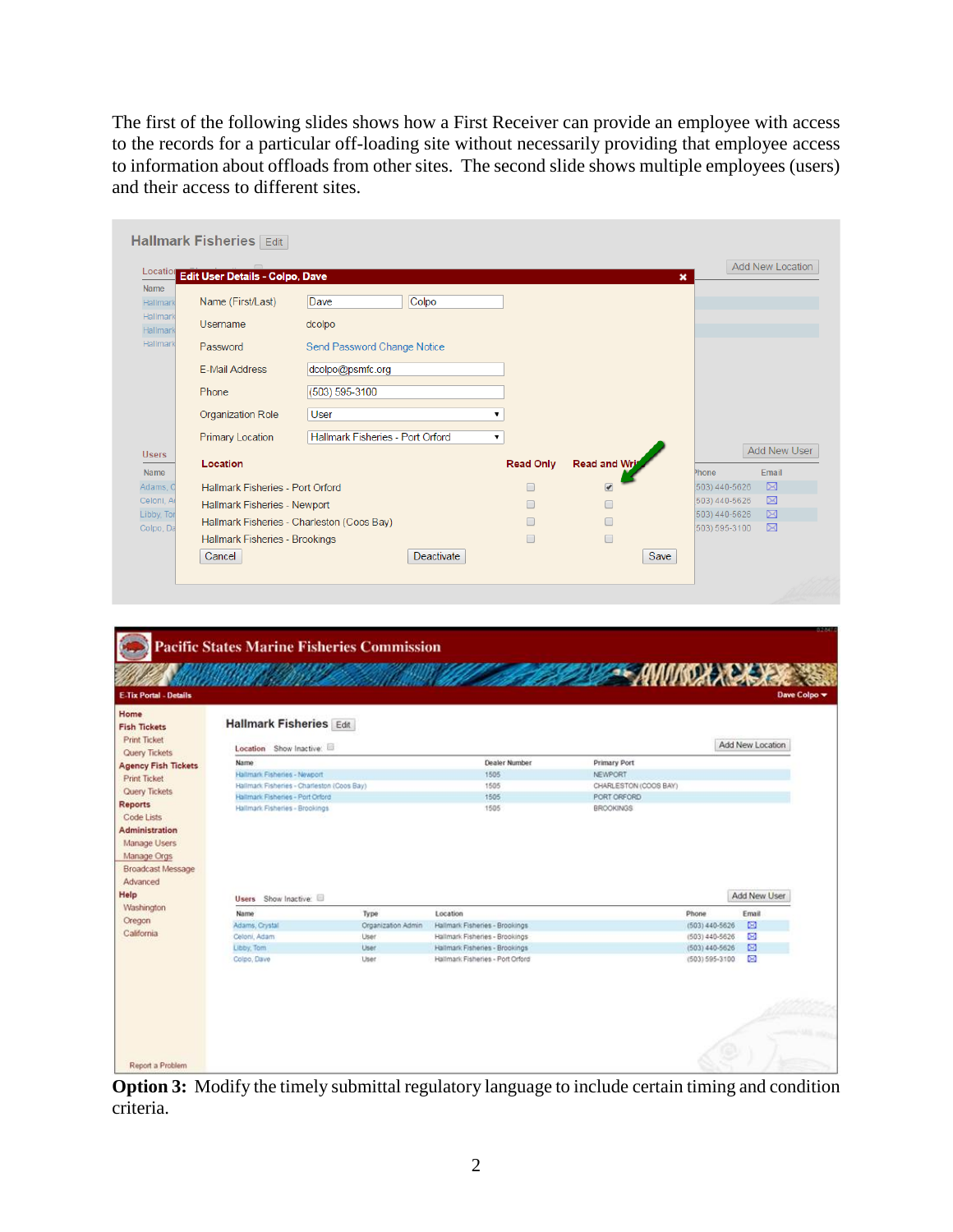The first of the following slides shows how a First Receiver can provide an employee with access to the records for a particular off-loading site without necessarily providing that employee access to information about offloads from other sites. The second slide shows multiple employees (users) and their access to different sites.

| Location                                                                 | Edit User Details - Colpo, Dave  |                                            |                  |               | $\boldsymbol{\mathsf{x}}$ | Add New Location |
|--------------------------------------------------------------------------|----------------------------------|--------------------------------------------|------------------|---------------|---------------------------|------------------|
| Name<br>Hallmark                                                         | Name (First/Last)                | Colpo<br>Dave                              |                  |               |                           |                  |
| Hallmark<br>Hallmark                                                     | Username                         | dcolpo                                     |                  |               |                           |                  |
| Hallmark                                                                 | Password                         | Send Password Change Notice                |                  |               |                           |                  |
|                                                                          | <b>E-Mail Address</b>            | dcolpo@psmfc.org                           |                  |               |                           |                  |
|                                                                          | Phone                            | (503) 595-3100                             |                  |               |                           |                  |
|                                                                          |                                  |                                            |                  |               |                           |                  |
|                                                                          | Organization Role                | User                                       | 7                |               |                           |                  |
|                                                                          | <b>Primary Location</b>          | Hallmark Fisheries - Port Orford           | 7                |               |                           |                  |
|                                                                          |                                  |                                            |                  |               |                           | Add New User     |
|                                                                          | Location                         |                                            | <b>Read Only</b> | Read and Writ | Phone                     | Email            |
|                                                                          | Hallmark Fisheries - Port Orford |                                            | $\Box$           | $\bullet$     | 503) 440-5626             | $\boxtimes$      |
|                                                                          | Hallmark Fisheries - Newport     |                                            |                  |               | 503) 440-5626             | $\boxtimes$      |
|                                                                          |                                  |                                            |                  | $\Box$        | 503) 440-5626             | $\boxtimes$      |
| <b>Users</b><br>Name<br>Adams, C<br>Celoni, A<br>Libby, Tor<br>Colpo, Da | Hallmark Fisheries - Brookings   | Hallmark Fisheries - Charleston (Coos Bay) |                  | $\Box$        | 503) 595-3100             | ⊠                |

| <b>Fish Tickets</b><br><b>Print Ticket</b>                                       | <b>Hallmark Fisheries Edit</b>                                     |                    |                                                                    |                                        |                  |  |
|----------------------------------------------------------------------------------|--------------------------------------------------------------------|--------------------|--------------------------------------------------------------------|----------------------------------------|------------------|--|
| Query Tickets                                                                    | Location Show Inactive:                                            |                    | Add New Location                                                   |                                        |                  |  |
| <b>Agency Fish Tickets</b>                                                       | Name                                                               |                    | <b>Dealer Number</b>                                               | <b>Primary Port</b>                    |                  |  |
| <b>Print Tacket</b>                                                              | Hallmark Fisheries - Newport                                       |                    | 1505                                                               | <b>NEWPORT</b>                         |                  |  |
| Query Tickets                                                                    | Hallmark Fisheries - Charleston (Coos Bay)                         |                    | 1505                                                               | CHARLESTON (COOS BAY)                  |                  |  |
| <b>Reports</b>                                                                   | Hallmark Fisheries - Port Orford<br>Hallmark Fisheries - Brookings |                    | 1505<br>1505                                                       | PORT ORFORD<br><b>BROOKINGS</b>        |                  |  |
| <b>Administration</b><br>Manage Users<br>Manage Orgs<br><b>Broadcast Message</b> |                                                                    |                    |                                                                    |                                        |                  |  |
| Advanced<br>Help                                                                 | Users Show Inactive:                                               |                    |                                                                    |                                        | Add New User     |  |
| Washington                                                                       | Name:                                                              | Type               | Location                                                           | Phone                                  | Email            |  |
|                                                                                  | Adams, Crystal                                                     | Organization Admin | Hallmark Fisheries - Brookings                                     | $(503)$ 440-5626                       | $\boxtimes$      |  |
|                                                                                  | Celoni, Adam                                                       | User.              | Hallmark Fisheries - Brookings                                     | (503) 440-5626                         | $\boxtimes$      |  |
| Oregon<br>California                                                             | Libby, Tom<br>Colpo, Dave                                          | User<br>User       | Hallmark Fisheries - Brookings<br>Hallmark Fisheries - Port Orford | $(503)$ 440-5626<br>$(503) 595 - 3100$ | 図<br>$\boxtimes$ |  |

**Option 3:** Modify the timely submittal regulatory language to include certain timing and condition criteria.